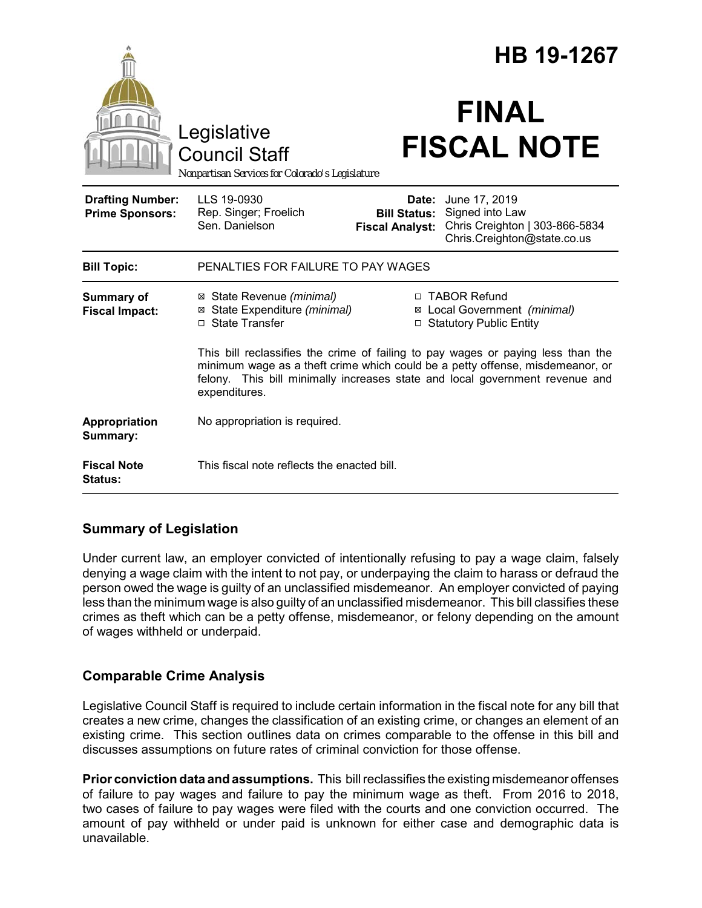|                                                   |                                                                                                                                                                                                                                                                    |                                                        | HB 19-1267                                                                                        |  |
|---------------------------------------------------|--------------------------------------------------------------------------------------------------------------------------------------------------------------------------------------------------------------------------------------------------------------------|--------------------------------------------------------|---------------------------------------------------------------------------------------------------|--|
|                                                   | Legislative<br><b>Council Staff</b><br>Nonpartisan Services for Colorado's Legislature                                                                                                                                                                             |                                                        | <b>FINAL</b><br><b>FISCAL NOTE</b>                                                                |  |
| <b>Drafting Number:</b><br><b>Prime Sponsors:</b> | LLS 19-0930<br>Rep. Singer; Froelich<br>Sen. Danielson                                                                                                                                                                                                             | Date:<br><b>Bill Status:</b><br><b>Fiscal Analyst:</b> | June 17, 2019<br>Signed into Law<br>Chris Creighton   303-866-5834<br>Chris.Creighton@state.co.us |  |
| <b>Bill Topic:</b>                                | PENALTIES FOR FAILURE TO PAY WAGES                                                                                                                                                                                                                                 |                                                        |                                                                                                   |  |
| Summary of<br><b>Fiscal Impact:</b>               | ⊠ State Revenue (minimal)<br>⊠ State Expenditure (minimal)<br>□ State Transfer                                                                                                                                                                                     |                                                        | □ TABOR Refund<br>⊠ Local Government (minimal)<br>□ Statutory Public Entity                       |  |
|                                                   | This bill reclassifies the crime of failing to pay wages or paying less than the<br>minimum wage as a theft crime which could be a petty offense, misdemeanor, or<br>felony. This bill minimally increases state and local government revenue and<br>expenditures. |                                                        |                                                                                                   |  |
| Appropriation<br>Summary:                         | No appropriation is required.                                                                                                                                                                                                                                      |                                                        |                                                                                                   |  |
| <b>Fiscal Note</b><br><b>Status:</b>              | This fiscal note reflects the enacted bill.                                                                                                                                                                                                                        |                                                        |                                                                                                   |  |

## **Summary of Legislation**

Under current law, an employer convicted of intentionally refusing to pay a wage claim, falsely denying a wage claim with the intent to not pay, or underpaying the claim to harass or defraud the person owed the wage is guilty of an unclassified misdemeanor. An employer convicted of paying less than the minimum wage is also guilty of an unclassified misdemeanor. This bill classifies these crimes as theft which can be a petty offense, misdemeanor, or felony depending on the amount of wages withheld or underpaid.

# **Comparable Crime Analysis**

Legislative Council Staff is required to include certain information in the fiscal note for any bill that creates a new crime, changes the classification of an existing crime, or changes an element of an existing crime. This section outlines data on crimes comparable to the offense in this bill and discusses assumptions on future rates of criminal conviction for those offense.

**Prior conviction data and assumptions.** This bill reclassifies the existing misdemeanor offenses of failure to pay wages and failure to pay the minimum wage as theft. From 2016 to 2018, two cases of failure to pay wages were filed with the courts and one conviction occurred. The amount of pay withheld or under paid is unknown for either case and demographic data is unavailable.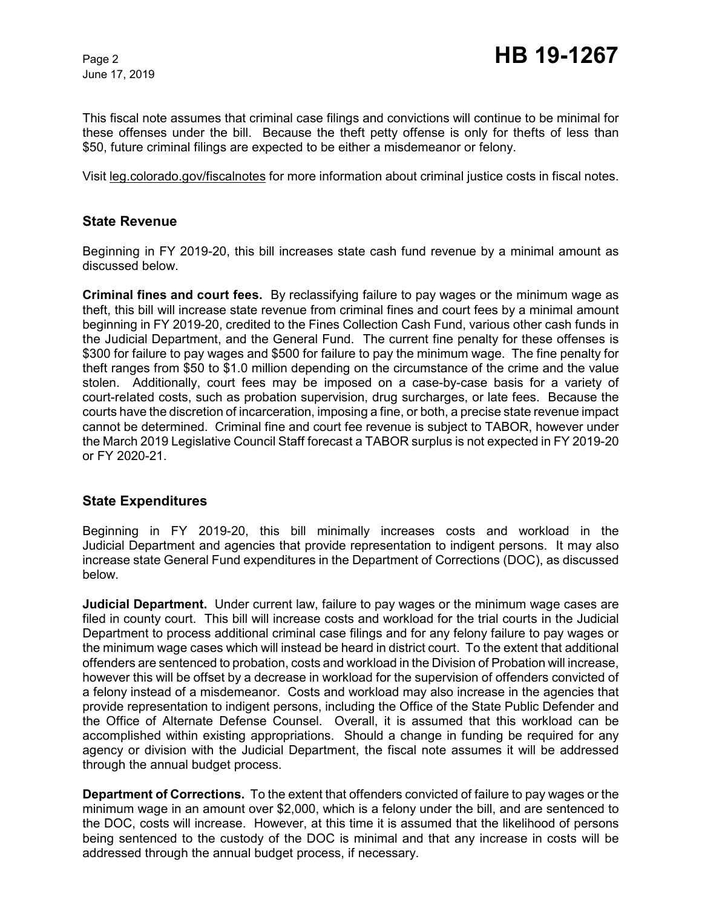June 17, 2019

This fiscal note assumes that criminal case filings and convictions will continue to be minimal for these offenses under the bill. Because the theft petty offense is only for thefts of less than \$50, future criminal filings are expected to be either a misdemeanor or felony.

Visit leg.colorado.gov/fiscalnotes for more information about criminal justice costs in fiscal notes.

#### **State Revenue**

Beginning in FY 2019-20, this bill increases state cash fund revenue by a minimal amount as discussed below.

**Criminal fines and court fees.** By reclassifying failure to pay wages or the minimum wage as theft, this bill will increase state revenue from criminal fines and court fees by a minimal amount beginning in FY 2019-20, credited to the Fines Collection Cash Fund, various other cash funds in the Judicial Department, and the General Fund. The current fine penalty for these offenses is \$300 for failure to pay wages and \$500 for failure to pay the minimum wage. The fine penalty for theft ranges from \$50 to \$1.0 million depending on the circumstance of the crime and the value stolen. Additionally, court fees may be imposed on a case-by-case basis for a variety of court-related costs, such as probation supervision, drug surcharges, or late fees. Because the courts have the discretion of incarceration, imposing a fine, or both, a precise state revenue impact cannot be determined. Criminal fine and court fee revenue is subject to TABOR, however under the March 2019 Legislative Council Staff forecast a TABOR surplus is not expected in FY 2019-20 or FY 2020-21.

#### **State Expenditures**

Beginning in FY 2019-20, this bill minimally increases costs and workload in the Judicial Department and agencies that provide representation to indigent persons. It may also increase state General Fund expenditures in the Department of Corrections (DOC), as discussed below.

**Judicial Department.** Under current law, failure to pay wages or the minimum wage cases are filed in county court. This bill will increase costs and workload for the trial courts in the Judicial Department to process additional criminal case filings and for any felony failure to pay wages or the minimum wage cases which will instead be heard in district court. To the extent that additional offenders are sentenced to probation, costs and workload in the Division of Probation will increase, however this will be offset by a decrease in workload for the supervision of offenders convicted of a felony instead of a misdemeanor. Costs and workload may also increase in the agencies that provide representation to indigent persons, including the Office of the State Public Defender and the Office of Alternate Defense Counsel. Overall, it is assumed that this workload can be accomplished within existing appropriations. Should a change in funding be required for any agency or division with the Judicial Department, the fiscal note assumes it will be addressed through the annual budget process.

**Department of Corrections.** To the extent that offenders convicted of failure to pay wages or the minimum wage in an amount over \$2,000, which is a felony under the bill, and are sentenced to the DOC, costs will increase. However, at this time it is assumed that the likelihood of persons being sentenced to the custody of the DOC is minimal and that any increase in costs will be addressed through the annual budget process, if necessary.